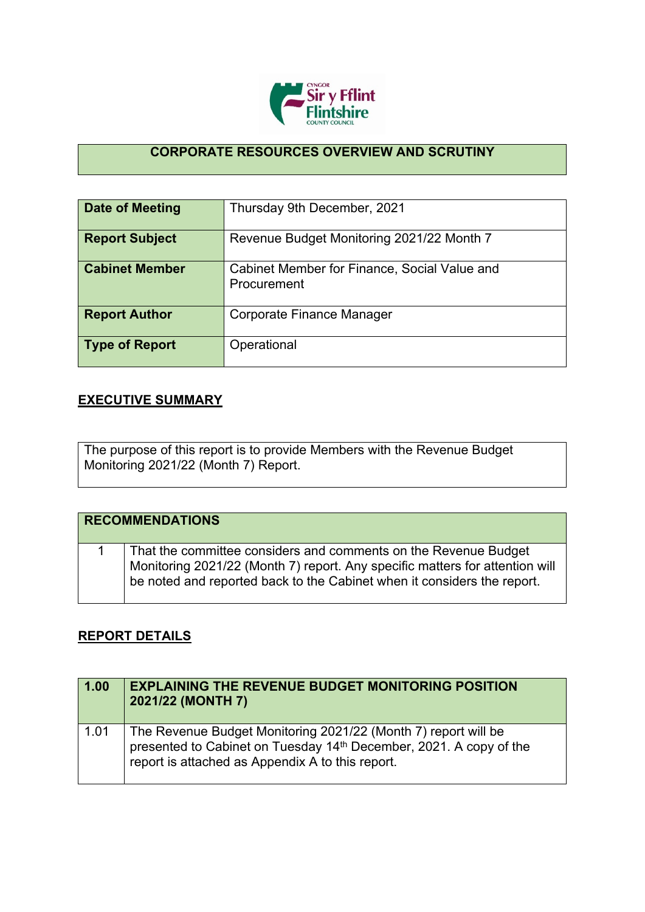

## **CORPORATE RESOURCES OVERVIEW AND SCRUTINY**

| Date of Meeting       | Thursday 9th December, 2021                                 |
|-----------------------|-------------------------------------------------------------|
| <b>Report Subject</b> | Revenue Budget Monitoring 2021/22 Month 7                   |
| <b>Cabinet Member</b> | Cabinet Member for Finance, Social Value and<br>Procurement |
| <b>Report Author</b>  | Corporate Finance Manager                                   |
| <b>Type of Report</b> | Operational                                                 |

## **EXECUTIVE SUMMARY**

The purpose of this report is to provide Members with the Revenue Budget Monitoring 2021/22 (Month 7) Report.

| <b>RECOMMENDATIONS</b>                                                                                                                                                                                                     |
|----------------------------------------------------------------------------------------------------------------------------------------------------------------------------------------------------------------------------|
| That the committee considers and comments on the Revenue Budget<br>Monitoring 2021/22 (Month 7) report. Any specific matters for attention will<br>be noted and reported back to the Cabinet when it considers the report. |

## **REPORT DETAILS**

| 1.00 | <b>EXPLAINING THE REVENUE BUDGET MONITORING POSITION</b><br>2021/22 (MONTH 7)                                                                                                            |
|------|------------------------------------------------------------------------------------------------------------------------------------------------------------------------------------------|
| 1.01 | The Revenue Budget Monitoring 2021/22 (Month 7) report will be<br>presented to Cabinet on Tuesday 14th December, 2021. A copy of the<br>report is attached as Appendix A to this report. |